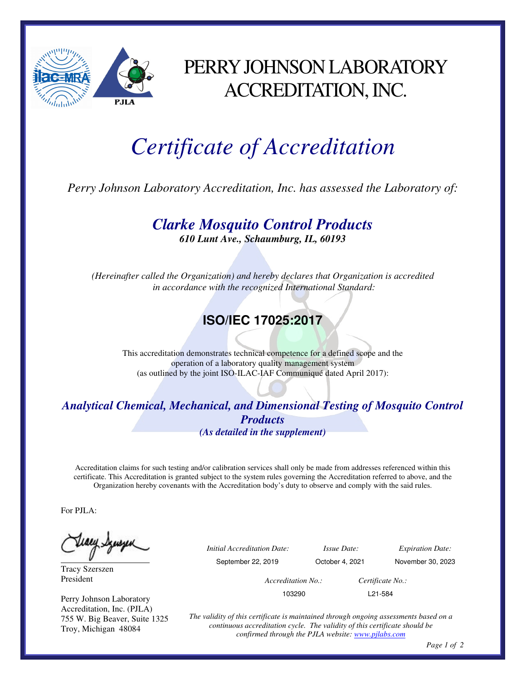

## PERRY JOHNSON LABORATORY ACCREDITATION, INC.

## *Certificate of Accreditation*

*Perry Johnson Laboratory Accreditation, Inc. has assessed the Laboratory of:* 

*Clarke Mosquito Control Products* 

*610 Lunt Ave., Schaumburg, IL, 60193* 

*(Hereinafter called the Organization) and hereby declares that Organization is accredited in accordance with the recognized International Standard:* 

## **ISO/IEC 17025:2017**

This accreditation demonstrates technical competence for a defined scope and the operation of a laboratory quality management system (as outlined by the joint ISO-ILAC-IAF Communiqué dated April 2017):

## *Analytical Chemical, Mechanical, and Dimensional Testing of Mosquito Control Products (As detailed in the supplement)*

Accreditation claims for such testing and/or calibration services shall only be made from addresses referenced within this certificate. This Accreditation is granted subject to the system rules governing the Accreditation referred to above, and the Organization hereby covenants with the Accreditation body's duty to observe and comply with the said rules.

For PJLA:

Tracy Szerszen President

Perry Johnson Laboratory Accreditation, Inc. (PJLA) 755 W. Big Beaver, Suite 1325 Troy, Michigan 48084

 *Initial Accreditation Date: Issue Date: Expiration Date:* 

September 22, 2019 October 4, 2021 November 30, 2023

*Accreditation No.: Certificate No.:* 

103290 L21-584

*The validity of this certificate is maintained through ongoing assessments based on a continuous accreditation cycle. The validity of this certificate should be confirmed through the PJLA website: www.pjlabs.com*